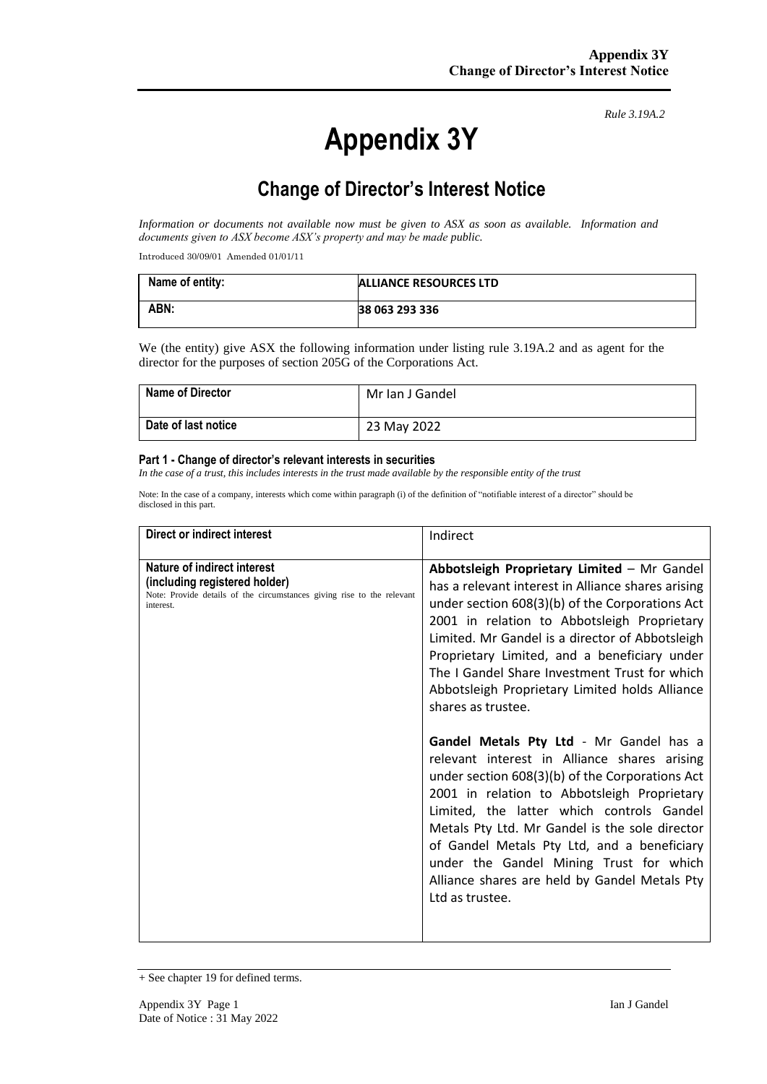# **Appendix 3Y**

*Rule 3.19A.2*

# **Change of Director's Interest Notice**

*Information or documents not available now must be given to ASX as soon as available. Information and documents given to ASX become ASX's property and may be made public.*

Introduced 30/09/01 Amended 01/01/11

| Name of entity: | ALLIANCE RESOURCES LTD |
|-----------------|------------------------|
| ABN:            | 38 063 293 336         |

We (the entity) give ASX the following information under listing rule 3.19A.2 and as agent for the director for the purposes of section 205G of the Corporations Act.

| <b>Name of Director</b> | Mr Ian J Gandel |
|-------------------------|-----------------|
| Date of last notice     | 23 May 2022     |

#### **Part 1 - Change of director's relevant interests in securities**

*In the case of a trust, this includes interests in the trust made available by the responsible entity of the trust*

Note: In the case of a company, interests which come within paragraph (i) of the definition of "notifiable interest of a director" should be disclosed in this part.

| Direct or indirect interest                                                                                                                         | Indirect                                                                                                                                                                                                                                                                                                                                                                                                                                                                                                                                                                                                                                                                                                                                                                                                                                                                                  |
|-----------------------------------------------------------------------------------------------------------------------------------------------------|-------------------------------------------------------------------------------------------------------------------------------------------------------------------------------------------------------------------------------------------------------------------------------------------------------------------------------------------------------------------------------------------------------------------------------------------------------------------------------------------------------------------------------------------------------------------------------------------------------------------------------------------------------------------------------------------------------------------------------------------------------------------------------------------------------------------------------------------------------------------------------------------|
| Nature of indirect interest<br>(including registered holder)<br>Note: Provide details of the circumstances giving rise to the relevant<br>interest. | Abbotsleigh Proprietary Limited - Mr Gandel<br>has a relevant interest in Alliance shares arising<br>under section 608(3)(b) of the Corporations Act<br>2001 in relation to Abbotsleigh Proprietary<br>Limited. Mr Gandel is a director of Abbotsleigh<br>Proprietary Limited, and a beneficiary under<br>The I Gandel Share Investment Trust for which<br>Abbotsleigh Proprietary Limited holds Alliance<br>shares as trustee.<br>Gandel Metals Pty Ltd - Mr Gandel has a<br>relevant interest in Alliance shares arising<br>under section 608(3)(b) of the Corporations Act<br>2001 in relation to Abbotsleigh Proprietary<br>Limited, the latter which controls Gandel<br>Metals Pty Ltd. Mr Gandel is the sole director<br>of Gandel Metals Pty Ltd, and a beneficiary<br>under the Gandel Mining Trust for which<br>Alliance shares are held by Gandel Metals Pty<br>Ltd as trustee. |

<sup>+</sup> See chapter 19 for defined terms.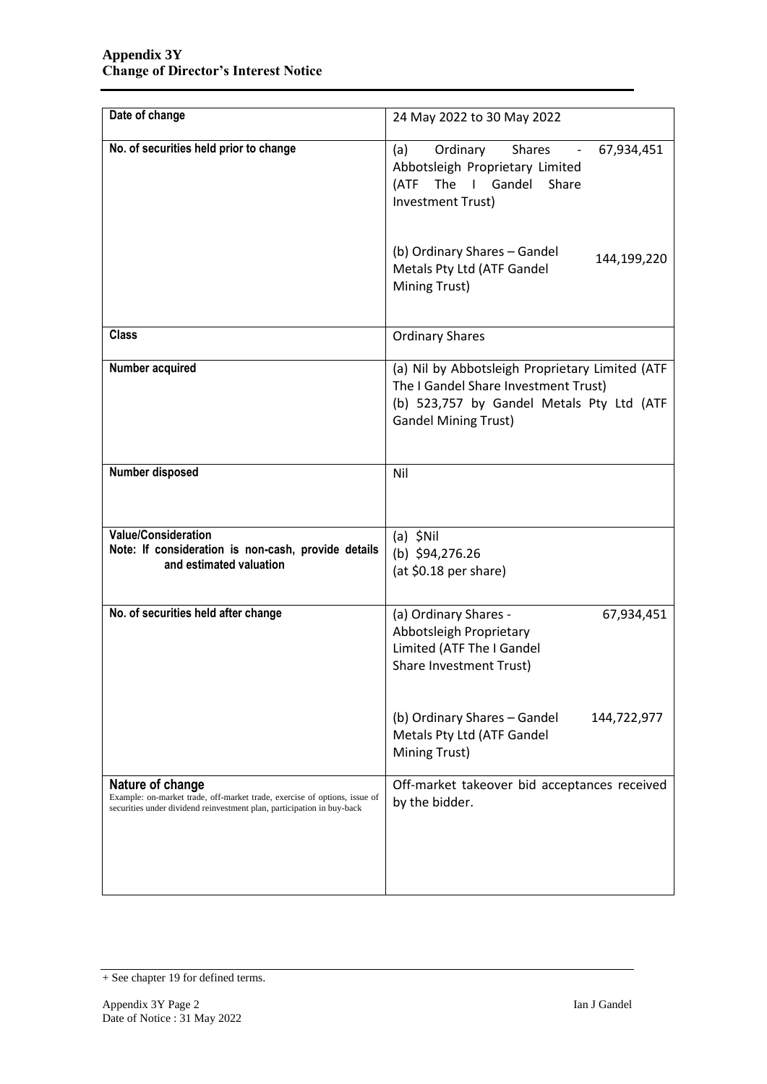| Date of change                                                                                                                                                          | 24 May 2022 to 30 May 2022                                                                                                                                          |  |
|-------------------------------------------------------------------------------------------------------------------------------------------------------------------------|---------------------------------------------------------------------------------------------------------------------------------------------------------------------|--|
| No. of securities held prior to change                                                                                                                                  | Ordinary<br><b>Shares</b><br>(a)<br>67,934,451<br>Abbotsleigh Proprietary Limited<br>The I Gandel Share<br>(ATF<br>Investment Trust)                                |  |
|                                                                                                                                                                         | (b) Ordinary Shares - Gandel<br>144,199,220<br>Metals Pty Ltd (ATF Gandel<br>Mining Trust)                                                                          |  |
| <b>Class</b>                                                                                                                                                            | <b>Ordinary Shares</b>                                                                                                                                              |  |
| Number acquired                                                                                                                                                         | (a) Nil by Abbotsleigh Proprietary Limited (ATF<br>The I Gandel Share Investment Trust)<br>(b) 523,757 by Gandel Metals Pty Ltd (ATF<br><b>Gandel Mining Trust)</b> |  |
| Number disposed                                                                                                                                                         | Nil                                                                                                                                                                 |  |
| <b>Value/Consideration</b><br>Note: If consideration is non-cash, provide details<br>and estimated valuation                                                            | $(a)$ \$Nil<br>(b) $$94,276.26$<br>(at \$0.18 per share)                                                                                                            |  |
| No. of securities held after change                                                                                                                                     | (a) Ordinary Shares -<br>67,934,451<br>Abbotsleigh Proprietary<br>Limited (ATF The I Gandel<br>Share Investment Trust)                                              |  |
|                                                                                                                                                                         | (b) Ordinary Shares - Gandel<br>144,722,977<br>Metals Pty Ltd (ATF Gandel<br>Mining Trust)                                                                          |  |
| Nature of change<br>Example: on-market trade, off-market trade, exercise of options, issue of<br>securities under dividend reinvestment plan, participation in buy-back | Off-market takeover bid acceptances received<br>by the bidder.                                                                                                      |  |

<sup>+</sup> See chapter 19 for defined terms.